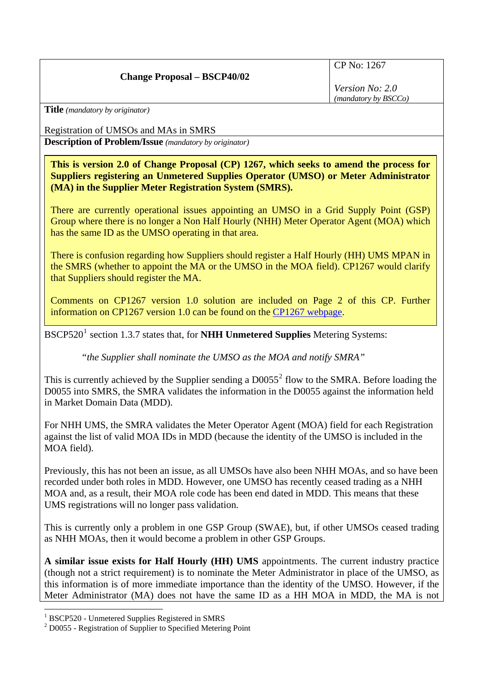## **Change Proposal – BSCP40/02**

CP No: 1267

*Version No: 2.0 (mandatory by BSCCo)*

**Title** *(mandatory by originator)* 

Registration of UMSOs and MAs in SMRS

**Description of Problem/Issue** *(mandatory by originator)* 

**This is version 2.0 of Change Proposal (CP) 1267, which seeks to amend the process for Suppliers registering an Unmetered Supplies Operator (UMSO) or Meter Administrator (MA) in the Supplier Meter Registration System (SMRS).** 

There are currently operational issues appointing an UMSO in a Grid Supply Point (GSP) Group where there is no longer a Non Half Hourly (NHH) Meter Operator Agent (MOA) which has the same ID as the UMSO operating in that area.

There is confusion regarding how Suppliers should register a Half Hourly (HH) UMS MPAN in the SMRS (whether to appoint the MA or the UMSO in the MOA field). CP1267 would clarify that Suppliers should register the MA.

Comments on CP1267 version 1.0 solution are included on Page 2 of this CP. Further information on CP1267 version 1.0 can be found on the [CP1267 webpage](http://www.elexon.co.uk/changeimplementation/ChangeProcess/proposals/proposal_details.aspx?proposalId=788).

BSCP520<sup>[1](#page-0-0)</sup> section 1.3.7 states that, for **NHH Unmetered Supplies** Metering Systems:

*"the Supplier shall nominate the UMSO as the MOA and notify SMRA"* 

This is currently achieved by the Supplier sending a  $D0055^2$  $D0055^2$  flow to the SMRA. Before loading the D0055 into SMRS, the SMRA validates the information in the D0055 against the information held in Market Domain Data (MDD).

For NHH UMS, the SMRA validates the Meter Operator Agent (MOA) field for each Registration against the list of valid MOA IDs in MDD (because the identity of the UMSO is included in the MOA field).

Previously, this has not been an issue, as all UMSOs have also been NHH MOAs, and so have been recorded under both roles in MDD. However, one UMSO has recently ceased trading as a NHH MOA and, as a result, their MOA role code has been end dated in MDD. This means that these UMS registrations will no longer pass validation.

This is currently only a problem in one GSP Group (SWAE), but, if other UMSOs ceased trading as NHH MOAs, then it would become a problem in other GSP Groups.

**A similar issue exists for Half Hourly (HH) UMS** appointments. The current industry practice (though not a strict requirement) is to nominate the Meter Administrator in place of the UMSO, as this information is of more immediate importance than the identity of the UMSO. However, if the Meter Administrator (MA) does not have the same ID as a HH MOA in MDD, the MA is not

 $\overline{a}$ 

<span id="page-0-0"></span><sup>&</sup>lt;sup>1</sup> BSCP520 - Unmetered Supplies Registered in SMRS

<span id="page-0-1"></span><sup>&</sup>lt;sup>2</sup> D0055 - Registration of Supplier to Specified Metering Point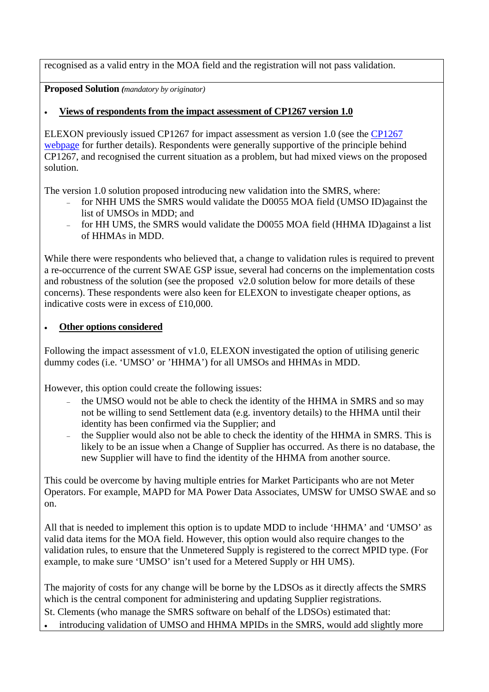recognised as a valid entry in the MOA field and the registration will not pass validation.

**Proposed Solution** *(mandatory by originator)* 

## • **Views of respondents from the impact assessment of CP1267 version 1.0**

ELEXON previously issued CP1267 for impact assessment as version 1.0 (see the [CP1267](http://www.elexon.co.uk/changeimplementation/ChangeProcess/proposals/proposal_details.aspx?proposalId=788)  [webpage](http://www.elexon.co.uk/changeimplementation/ChangeProcess/proposals/proposal_details.aspx?proposalId=788) for further details). Respondents were generally supportive of the principle behind CP1267, and recognised the current situation as a problem, but had mixed views on the proposed solution.

The version 1.0 solution proposed introducing new validation into the SMRS, where:

- for NHH UMS the SMRS would validate the D0055 MOA field (UMSO ID)against the list of UMSOs in MDD; and
- for HH UMS, the SMRS would validate the D0055 MOA field (HHMA ID)against a list of HHMAs in MDD.

While there were respondents who believed that, a change to validation rules is required to prevent a re-occurrence of the current SWAE GSP issue, several had concerns on the implementation costs and robustness of the solution (see the proposed v2.0 solution below for more details of these concerns). These respondents were also keen for ELEXON to investigate cheaper options, as indicative costs were in excess of £10,000.

## • **Other options considered**

Following the impact assessment of v1.0, ELEXON investigated the option of utilising generic dummy codes (i.e. 'UMSO' or 'HHMA') for all UMSOs and HHMAs in MDD.

However, this option could create the following issues:

- the UMSO would not be able to check the identity of the HHMA in SMRS and so may not be willing to send Settlement data (e.g. inventory details) to the HHMA until their identity has been confirmed via the Supplier; and
- − the Supplier would also not be able to check the identity of the HHMA in SMRS. This is likely to be an issue when a Change of Supplier has occurred. As there is no database, the new Supplier will have to find the identity of the HHMA from another source.

This could be overcome by having multiple entries for Market Participants who are not Meter Operators. For example, MAPD for MA Power Data Associates, UMSW for UMSO SWAE and so on.

All that is needed to implement this option is to update MDD to include 'HHMA' and 'UMSO' as valid data items for the MOA field. However, this option would also require changes to the validation rules, to ensure that the Unmetered Supply is registered to the correct MPID type. (For example, to make sure 'UMSO' isn't used for a Metered Supply or HH UMS).

The majority of costs for any change will be borne by the LDSOs as it directly affects the SMRS which is the central component for administering and updating Supplier registrations.

- St. Clements (who manage the SMRS software on behalf of the LDSOs) estimated that:
- introducing validation of UMSO and HHMA MPIDs in the SMRS, would add slightly more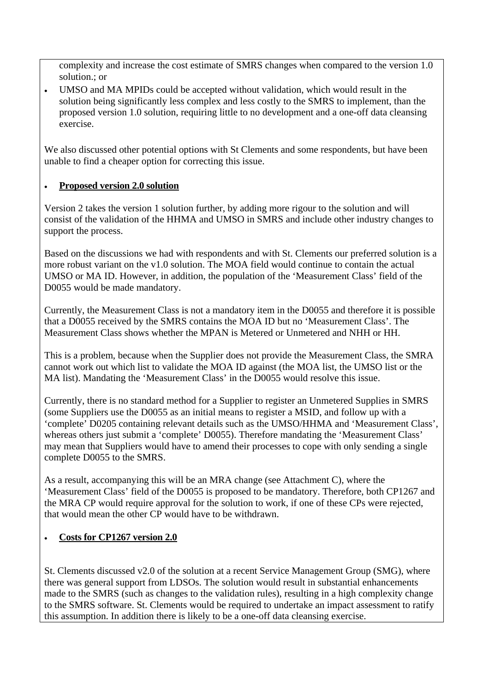complexity and increase the cost estimate of SMRS changes when compared to the version 1. 0 solution.; or

• UMSO and MA MPIDs could be accepted without validation, which would result in the solution being significantly less complex and less costly to the SMRS to implement, than the proposed version 1.0 solution, requiring little to no development and a one-off data cleansing exercise.

We also discussed other potential options with St Clements and some respondents, but have been unable to find a cheaper option for correcting this issue.

#### **Proposed version 2.0 solution** •

Version 2 takes the version 1 solution further, by adding more rigour to the solution and will consist of the validation of the HHMA and UMSO in SMRS and include other industry changes to support the process.

Based on the discussions we had with respondents and with St. Clements our preferred solution is a more robust variant on the v1.0 solution. The MOA field would continue to contain the actual UMSO or MA ID. However, in addition, the population of the 'Measurement Class' field of the D0055 would be made mandatory.

Currently, the Measurement Class is not a mandatory item in the D0055 and therefore it is possible that a D0055 received by the SMRS contains the MOA ID but no 'Measurement Class'. The Measurement Class shows whether the MPAN is Metered or Unmetered and NHH or HH.

This is a problem, because when the Supplier does not provide the Measurement Class, the SMRA cannot work out which list to validate the MOA ID against (the MOA list, the UMSO list or the MA list). Mandating the 'Measurement Class' in the D0055 would resolve this issue.

Currently, there is no standard method for a Supplier to register an Unmetered Supplies in SMRS 'complete' D0205 containing relevant details such as the UMSO/HHMA and 'Measurement Class', (some Suppliers use the D0055 as an initial means to register a MSID, and follow up with a whereas others just submit a 'complete' D0055). Therefore mandating the 'Measurement Class' may mean that Suppliers would have to amend their processes to cope with only sending a single complete D0055 to the SMRS.

As a result, accompanying this will be an MRA change (see Attachment C), where the 'Measurement Class' field of the D0055 is proposed to be mandatory. Therefore, both CP1267 and the MRA CP would require approval for the solution to work, if one of these CPs were rejected, that would mean the other CP would have to be withdrawn.

#### **Costs for CP1267 version 2.0**  •

St. Clements discussed v2.0 of the solution at a recent Service Management Group (SMG), where made to the SMRS (such as changes to the validation rules), resulting in a high complexity change there was general support from LDSOs. The solution would result in substantial enhancements to the SMRS software. St. Clements would be required to undertake an impact assessment to ratify this assumption. In addition there is likely to be a one-off data cleansing exercise.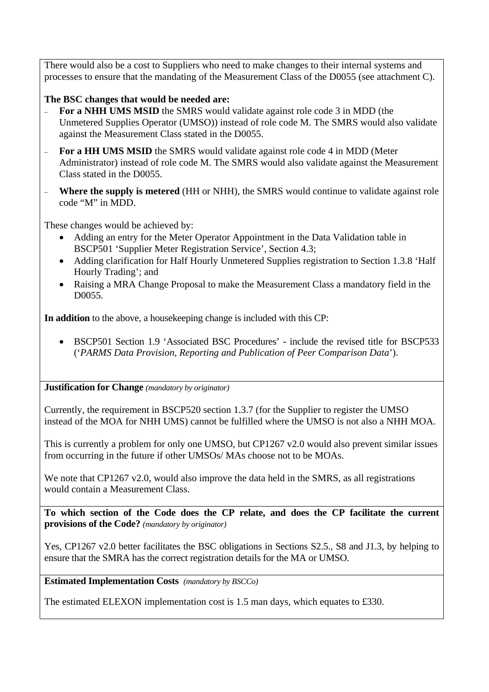There would also be a cost to Suppliers who need to make changes to their internal systems and processes to ensure that the mandating of the Measurement Class of the D0055 (see attachment C).

# The BSC changes that would be needed are:

- − **For a NHH UMS MSID** the SMRS would validate against role code 3 in MDD (the Unmetered Supplies Operator (UMSO)) instead of role code M. The SMRS would also validate against the Measurement Class stated in the D0055.
- **For a HH UMS MSID** the SMRS would validate against role code 4 in MDD (Meter Administrator) instead of role code M. The SMRS would also validate against the Measurement Class stated in the D0055.
- **EXECUTE:** Where the supply is metered (HH or NHH), the SMRS would continue to validate against role code "M" in MDD.

These changes would be achieved by:

- Adding an entry for the Meter Operator Appointment in the Data Validation table in BSCP501 'Supplier Meter Registration Service', Section 4.3;
- Adding clarification for Half Hourly Unmetered Supplies registration to Section 1.3.8 'Half Hourly Trading'; and
- Raising a MRA Change Proposal to make the Measurement Class a mandatory field in the D0055.

**In addition** to the above, a housekeeping change is included with this CP:

• BSCP501 Section 1.9 'Associated BSC Procedures' - include the revised title for BSCP533 ('*PARMS Data Provision, Reporting and Publication of Peer Comparison Data*').

### **Justification for Change** *(mandatory by originator)*

Currently, the requirement in BSCP520 section 1.3.7 (for the Supplier to register the UMSO instead of the MOA for NHH UMS) cannot be fulfilled where the UMSO is not also a NHH MOA.

This is currently a problem for only one UMSO, but CP1267 v2.0 would also prevent similar issues from occurring in the future if other UMSOs/ MAs choose not to be MOAs.

We note that CP1267  $v2.0$ , would also improve the data held in the SMRS, as all registrations would contain a Measurement Class.

**To which section of the Code does the CP relate, and does the CP facilitate the current provisions of the Code?** *(mandatory by originator)* 

Yes, CP1267 v2.0 better facilitates the BSC obligations in Sections S2.5., S8 and J1.3, by helping to ensure that the SMRA has the correct registration details for the MA or UMSO.

**Estimated Implementation Costs** *(mandatory by BSCCo)* 

The estimated ELEXON implementation cost is 1.5 man days, which equates to £330.